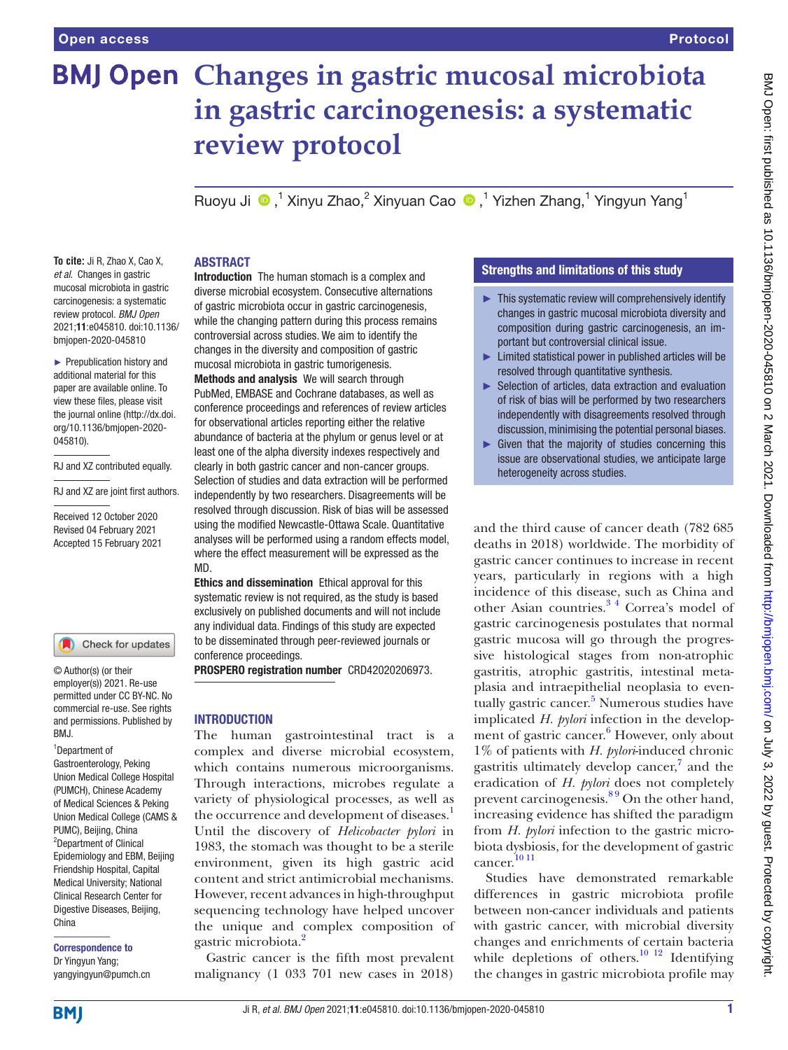# **BMJ Open Changes in gastric mucosal microbiota in gastric carcinogenesis: a systematic review protocol**

Ruoyu Ji  $\bullet$ ,<sup>1</sup> Xinyu Zhao,<sup>2</sup> Xinyuan Cao  $\bullet$ ,<sup>1</sup> Yizhen Zhang,<sup>1</sup> Yingyun Yang<sup>1</sup>

**To cite:** Ji R, Zhao X, Cao X, *et al*. Changes in gastric mucosal microbiota in gastric carcinogenesis: a systematic review protocol. *BMJ Open* 2021;11:e045810. doi:10.1136/ bmjopen-2020-045810

► Prepublication history and additional material for this paper are available online. To view these files, please visit the journal online [\(http://dx.doi.](http://dx.doi.org/10.1136/bmjopen-2020-045810) [org/10.1136/bmjopen-2020-](http://dx.doi.org/10.1136/bmjopen-2020-045810) [045810\)](http://dx.doi.org/10.1136/bmjopen-2020-045810).

RJ and XZ contributed equally.

RJ and XZ are joint first authors.

Received 12 October 2020 Revised 04 February 2021 Accepted 15 February 2021

Check for updates

© Author(s) (or their employer(s)) 2021. Re-use permitted under CC BY-NC. No commercial re-use. See rights and permissions. Published by BMJ.

#### 1 Department of Gastroenterology, Peking Union Medical College Hospital (PUMCH), Chinese Academy of Medical Sciences & Peking Union Medical College (CAMS & PUMC), Beijing, China <sup>2</sup>Department of Clinical Epidemiology and EBM, Beijing Friendship Hospital, Capital Medical University; National Clinical Research Center for Digestive Diseases, Beijing, China

Correspondence to Dr Yingyun Yang; yangyingyun@pumch.cn

## ABSTRACT

Introduction The human stomach is a complex and diverse microbial ecosystem. Consecutive alternations of gastric microbiota occur in gastric carcinogenesis, while the changing pattern during this process remains controversial across studies. We aim to identify the changes in the diversity and composition of gastric mucosal microbiota in gastric tumorigenesis. Methods and analysis We will search through PubMed, EMBASE and Cochrane databases, as well as conference proceedings and references of review articles for observational articles reporting either the relative abundance of bacteria at the phylum or genus level or at least one of the alpha diversity indexes respectively and clearly in both gastric cancer and non-cancer groups. Selection of studies and data extraction will be performed independently by two researchers. Disagreements will be resolved through discussion. Risk of bias will be assessed using the modified Newcastle-Ottawa Scale. Quantitative analyses will be performed using a random effects model, where the effect measurement will be expressed as the MD.

Ethics and dissemination Ethical approval for this systematic review is not required, as the study is based exclusively on published documents and will not include any individual data. Findings of this study are expected to be disseminated through peer-reviewed journals or conference proceedings.

PROSPERO registration number CRD42020206973.

# **INTRODUCTION**

The human gastrointestinal tract is a complex and diverse microbial ecosystem, which contains numerous microorganisms. Through interactions, microbes regulate a variety of physiological processes, as well as the occurrence and development of diseases.<sup>[1](#page-3-0)</sup> Until the discovery of *Helicobacter pylori* in 1983, the stomach was thought to be a sterile environment, given its high gastric acid content and strict antimicrobial mechanisms. However, recent advances in high-throughput sequencing technology have helped uncover the unique and complex composition of gastric microbiota.<sup>[2](#page-3-1)</sup>

Gastric cancer is the fifth most prevalent malignancy (1 033 701 new cases in 2018)

# Strengths and limitations of this study

- $\blacktriangleright$  This systematic review will comprehensively identify changes in gastric mucosal microbiota diversity and composition during gastric carcinogenesis, an important but controversial clinical issue.
- ► Limited statistical power in published articles will be resolved through quantitative synthesis.
- ► Selection of articles, data extraction and evaluation of risk of bias will be performed by two researchers independently with disagreements resolved through discussion, minimising the potential personal biases.
- ► Given that the majority of studies concerning this issue are observational studies, we anticipate large heterogeneity across studies.

and the third cause of cancer death (782 685 deaths in 2018) worldwide. The morbidity of gastric cancer continues to increase in recent years, particularly in regions with a high incidence of this disease, such as China and other Asian countries.<sup>34</sup> Correa's model of gastric carcinogenesis postulates that normal gastric mucosa will go through the progressive histological stages from non-atrophic gastritis, atrophic gastritis, intestinal metaplasia and intraepithelial neoplasia to even-tually gastric cancer.<sup>[5](#page-3-3)</sup> Numerous studies have implicated *H. pylori* infection in the develop-ment of gastric cancer.<sup>[6](#page-3-4)</sup> However, only about 1% of patients with *H. pylori*-induced chronic gastritis ultimately develop cancer,<sup>[7](#page-3-5)</sup> and the eradication of *H. pylori* does not completely prevent carcinogenesis.<sup>89</sup> On the other hand, increasing evidence has shifted the paradigm from *H. pylori* infection to the gastric microbiota dysbiosis, for the development of gastric cancer. [10 11](#page-3-7)

Studies have demonstrated remarkable differences in gastric microbiota profile between non-cancer individuals and patients with gastric cancer, with microbial diversity changes and enrichments of certain bacteria while depletions of others.<sup>[10 12](#page-3-7)</sup> Identifying the changes in gastric microbiota profile may

**BMI**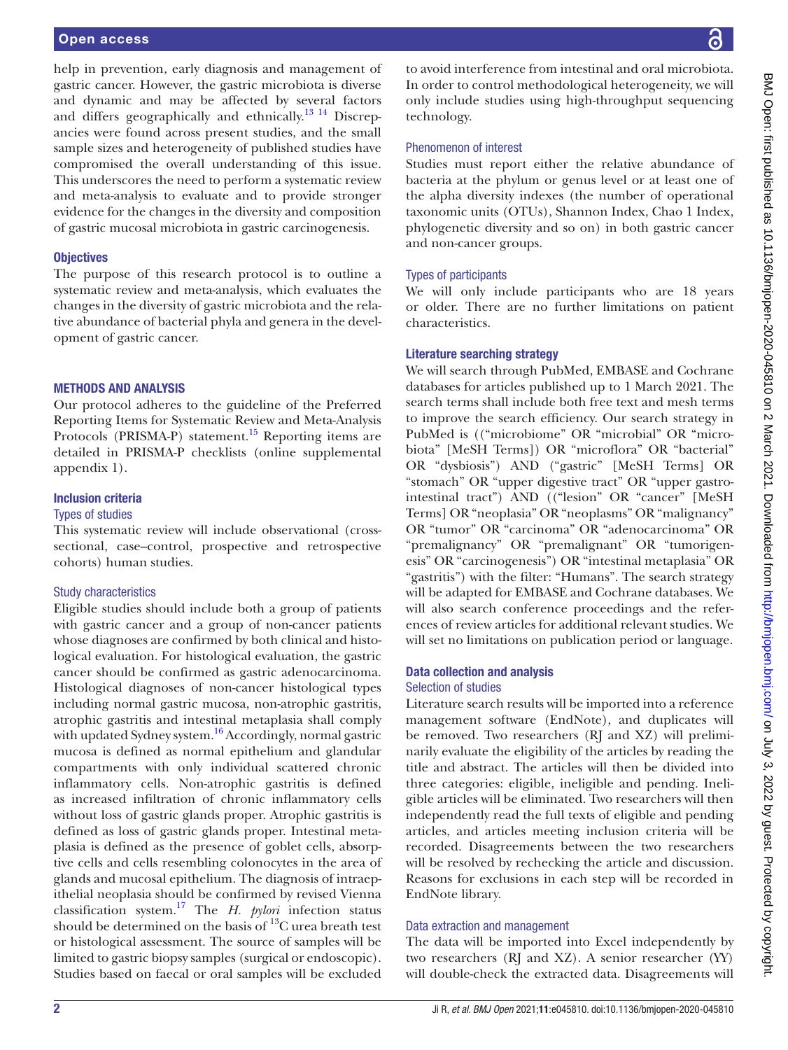help in prevention, early diagnosis and management of gastric cancer. However, the gastric microbiota is diverse and dynamic and may be affected by several factors and differs geographically and ethnically.<sup>13 14</sup> Discrepancies were found across present studies, and the small sample sizes and heterogeneity of published studies have compromised the overall understanding of this issue. This underscores the need to perform a systematic review and meta-analysis to evaluate and to provide stronger evidence for the changes in the diversity and composition of gastric mucosal microbiota in gastric carcinogenesis.

## **Objectives**

The purpose of this research protocol is to outline a systematic review and meta-analysis, which evaluates the changes in the diversity of gastric microbiota and the relative abundance of bacterial phyla and genera in the development of gastric cancer.

#### METHODS AND ANALYSIS

Our protocol adheres to the guideline of the Preferred Reporting Items for Systematic Review and Meta-Analysis Protocols (PRISMA-P) statement.<sup>15</sup> Reporting items are detailed in PRISMA-P checklists ([online supplemental](https://dx.doi.org/10.1136/bmjopen-2020-045810) [appendix 1](https://dx.doi.org/10.1136/bmjopen-2020-045810)).

# Inclusion criteria

# Types of studies

This systematic review will include observational (crosssectional, case–control, prospective and retrospective cohorts) human studies.

## Study characteristics

Eligible studies should include both a group of patients with gastric cancer and a group of non-cancer patients whose diagnoses are confirmed by both clinical and histological evaluation. For histological evaluation, the gastric cancer should be confirmed as gastric adenocarcinoma. Histological diagnoses of non-cancer histological types including normal gastric mucosa, non-atrophic gastritis, atrophic gastritis and intestinal metaplasia shall comply with updated Sydney system.<sup>16</sup> Accordingly, normal gastric mucosa is defined as normal epithelium and glandular compartments with only individual scattered chronic inflammatory cells. Non-atrophic gastritis is defined as increased infiltration of chronic inflammatory cells without loss of gastric glands proper. Atrophic gastritis is defined as loss of gastric glands proper. Intestinal metaplasia is defined as the presence of goblet cells, absorptive cells and cells resembling colonocytes in the area of glands and mucosal epithelium. The diagnosis of intraepithelial neoplasia should be confirmed by revised Vienna classification system[.17](#page-3-11) The *H. pylori* infection status should be determined on the basis of  $^{13}$ C urea breath test or histological assessment. The source of samples will be limited to gastric biopsy samples (surgical or endoscopic). Studies based on faecal or oral samples will be excluded

to avoid interference from intestinal and oral microbiota. In order to control methodological heterogeneity, we will only include studies using high-throughput sequencing technology.

# Phenomenon of interest

Studies must report either the relative abundance of bacteria at the phylum or genus level or at least one of the alpha diversity indexes (the number of operational taxonomic units (OTUs), Shannon Index, Chao 1 Index, phylogenetic diversity and so on) in both gastric cancer and non-cancer groups.

## Types of participants

We will only include participants who are 18 years or older. There are no further limitations on patient characteristics.

#### Literature searching strategy

We will search through PubMed, EMBASE and Cochrane databases for articles published up to 1 March 2021. The search terms shall include both free text and mesh terms to improve the search efficiency. Our search strategy in PubMed is (("microbiome" OR "microbial" OR "microbiota" [MeSH Terms]) OR "microflora" OR "bacterial" OR "dysbiosis") AND ("gastric" [MeSH Terms] OR "stomach" OR "upper digestive tract" OR "upper gastrointestinal tract") AND (("lesion" OR "cancer" [MeSH Terms] OR "neoplasia" OR "neoplasms" OR "malignancy" OR "tumor" OR "carcinoma" OR "adenocarcinoma" OR "premalignancy" OR "premalignant" OR "tumorigenesis" OR "carcinogenesis") OR "intestinal metaplasia" OR "gastritis") with the filter: "Humans". The search strategy will be adapted for EMBASE and Cochrane databases. We will also search conference proceedings and the references of review articles for additional relevant studies. We will set no limitations on publication period or language.

# Data collection and analysis

#### Selection of studies

Literature search results will be imported into a reference management software (EndNote), and duplicates will be removed. Two researchers (RJ and XZ) will preliminarily evaluate the eligibility of the articles by reading the title and abstract. The articles will then be divided into three categories: eligible, ineligible and pending. Ineligible articles will be eliminated. Two researchers will then independently read the full texts of eligible and pending articles, and articles meeting inclusion criteria will be recorded. Disagreements between the two researchers will be resolved by rechecking the article and discussion. Reasons for exclusions in each step will be recorded in EndNote library.

## Data extraction and management

The data will be imported into Excel independently by two researchers (RJ and XZ). A senior researcher (YY) will double-check the extracted data. Disagreements will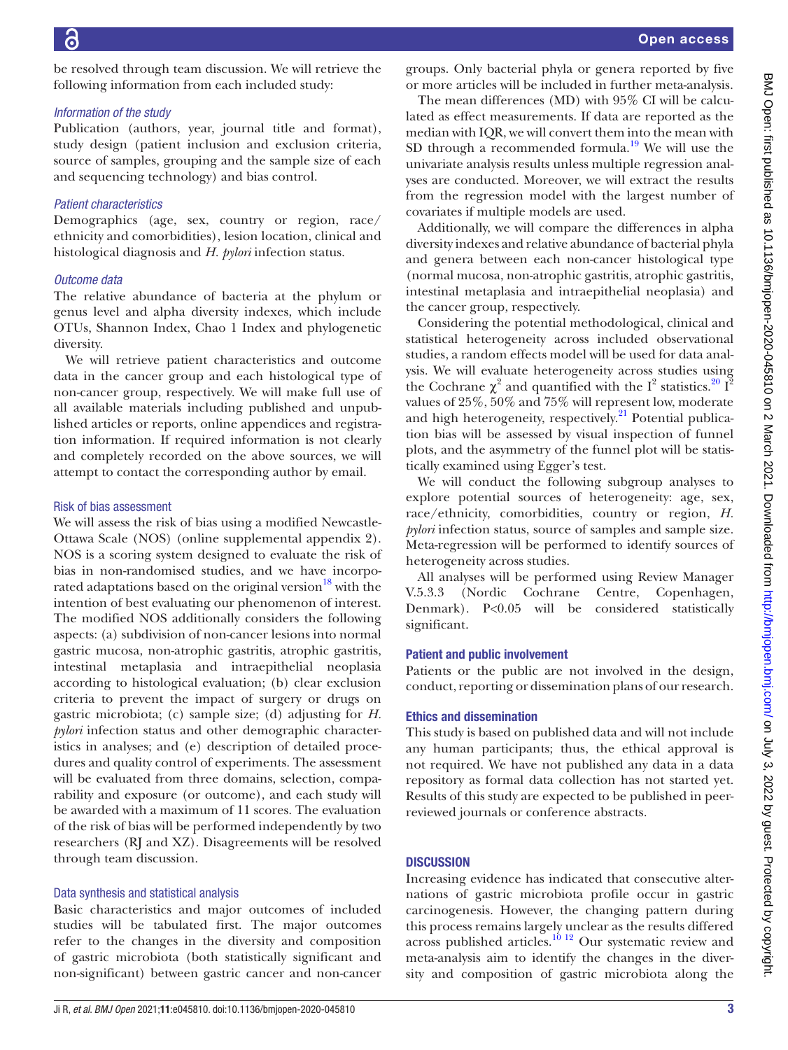be resolved through team discussion. We will retrieve the following information from each included study:

## *Information of the study*

Publication (authors, year, journal title and format), study design (patient inclusion and exclusion criteria, source of samples, grouping and the sample size of each and sequencing technology) and bias control.

# *Patient characteristics*

Demographics (age, sex, country or region, race/ ethnicity and comorbidities), lesion location, clinical and histological diagnosis and *H. pylori* infection status.

## *Outcome data*

The relative abundance of bacteria at the phylum or genus level and alpha diversity indexes, which include OTUs, Shannon Index, Chao 1 Index and phylogenetic diversity.

We will retrieve patient characteristics and outcome data in the cancer group and each histological type of non-cancer group, respectively. We will make full use of all available materials including published and unpublished articles or reports, online appendices and registration information. If required information is not clearly and completely recorded on the above sources, we will attempt to contact the corresponding author by email.

## Risk of bias assessment

We will assess the risk of bias using a modified Newcastle-Ottawa Scale (NOS) ([online supplemental appendix 2](https://dx.doi.org/10.1136/bmjopen-2020-045810)). NOS is a scoring system designed to evaluate the risk of bias in non-randomised studies, and we have incorporated adaptations based on the original version<sup>18</sup> with the intention of best evaluating our phenomenon of interest. The modified NOS additionally considers the following aspects: (a) subdivision of non-cancer lesions into normal gastric mucosa, non-atrophic gastritis, atrophic gastritis, intestinal metaplasia and intraepithelial neoplasia according to histological evaluation; (b) clear exclusion criteria to prevent the impact of surgery or drugs on gastric microbiota; (c) sample size; (d) adjusting for *H. pylori* infection status and other demographic characteristics in analyses; and (e) description of detailed procedures and quality control of experiments. The assessment will be evaluated from three domains, selection, comparability and exposure (or outcome), and each study will be awarded with a maximum of 11 scores. The evaluation of the risk of bias will be performed independently by two researchers (RJ and XZ). Disagreements will be resolved through team discussion.

# Data synthesis and statistical analysis

Basic characteristics and major outcomes of included studies will be tabulated first. The major outcomes refer to the changes in the diversity and composition of gastric microbiota (both statistically significant and non-significant) between gastric cancer and non-cancer

groups. Only bacterial phyla or genera reported by five or more articles will be included in further meta-analysis.

The mean differences (MD) with 95% CI will be calculated as effect measurements. If data are reported as the median with IQR, we will convert them into the mean with SD through a recommended formula.<sup>19</sup> We will use the univariate analysis results unless multiple regression analyses are conducted. Moreover, we will extract the results from the regression model with the largest number of covariates if multiple models are used.

Additionally, we will compare the differences in alpha diversity indexes and relative abundance of bacterial phyla and genera between each non-cancer histological type (normal mucosa, non-atrophic gastritis, atrophic gastritis, intestinal metaplasia and intraepithelial neoplasia) and the cancer group, respectively.

Considering the potential methodological, clinical and statistical heterogeneity across included observational studies, a random effects model will be used for data analysis. We will evaluate heterogeneity across studies using the Cochrane  $\chi^2$  and quantified with the I<sup>2</sup> statistics.<sup>20</sup> I<sup>2</sup> values of 25%, 50% and 75% will represent low, moderate and high heterogeneity, respectively.<sup>[21](#page-3-15)</sup> Potential publication bias will be assessed by visual inspection of funnel plots, and the asymmetry of the funnel plot will be statistically examined using Egger's test.

We will conduct the following subgroup analyses to explore potential sources of heterogeneity: age, sex, race/ethnicity, comorbidities, country or region, *H. pylori* infection status, source of samples and sample size. Meta-regression will be performed to identify sources of heterogeneity across studies.

All analyses will be performed using Review Manager V.5.3.3 (Nordic Cochrane Centre, Copenhagen, Denmark). P<0.05 will be considered statistically significant.

# Patient and public involvement

Patients or the public are not involved in the design, conduct, reporting or dissemination plans of our research.

## Ethics and dissemination

This study is based on published data and will not include any human participants; thus, the ethical approval is not required. We have not published any data in a data repository as formal data collection has not started yet. Results of this study are expected to be published in peerreviewed journals or conference abstracts.

# **DISCUSSION**

Increasing evidence has indicated that consecutive alternations of gastric microbiota profile occur in gastric carcinogenesis. However, the changing pattern during this process remains largely unclear as the results differed across published articles.<sup>10 12</sup> Our systematic review and meta-analysis aim to identify the changes in the diversity and composition of gastric microbiota along the